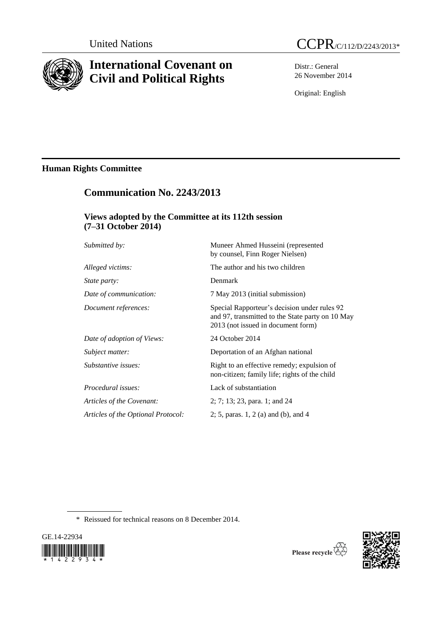

# **International Covenant on Civil and Political Rights**

Distr.: General 26 November 2014

Original: English

# **Human Rights Committee**

# **Communication No. 2243/2013**

# **Views adopted by the Committee at its 112th session (7–31 October 2014)**

| Submitted by:                      | Muneer Ahmed Husseini (represented<br>by counsel, Finn Roger Nielsen)                                                                  |
|------------------------------------|----------------------------------------------------------------------------------------------------------------------------------------|
| Alleged victims:                   | The author and his two children                                                                                                        |
| <i>State party:</i>                | Denmark                                                                                                                                |
| Date of communication:             | 7 May 2013 (initial submission)                                                                                                        |
| Document references:               | Special Rapporteur's decision under rules 92<br>and 97, transmitted to the State party on 10 May<br>2013 (not issued in document form) |
| Date of adoption of Views:         | 24 October 2014                                                                                                                        |
| Subject matter:                    | Deportation of an Afghan national                                                                                                      |
| Substantive issues:                | Right to an effective remedy; expulsion of<br>non-citizen; family life; rights of the child                                            |
| Procedural issues:                 | Lack of substantiation                                                                                                                 |
| Articles of the Covenant:          | 2; 7; 13; 23, para. 1; and 24                                                                                                          |
| Articles of the Optional Protocol: | 2; 5, paras. 1, 2 (a) and (b), and 4                                                                                                   |

\* Reissued for technical reasons on 8 December 2014.





Please recycle  $\overline{\mathcal{C}}$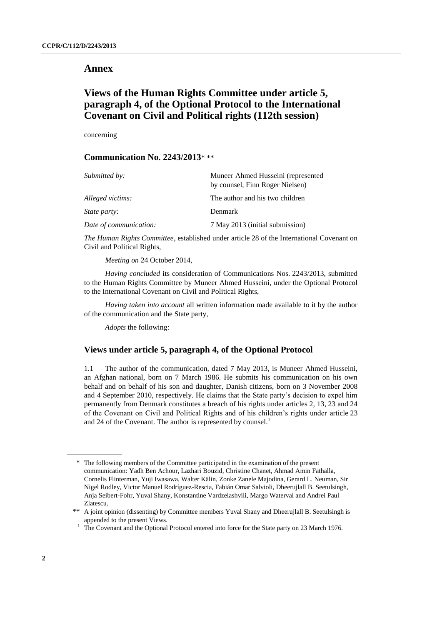# **Annex**

# **Views of the Human Rights Committee under article 5, paragraph 4, of the Optional Protocol to the International Covenant on Civil and Political rights (112th session)**

concerning

## **Communication No. 2243/2013**\* \*\*

| Submitted by:          | Muneer Ahmed Husseini (represented<br>by counsel, Finn Roger Nielsen) |
|------------------------|-----------------------------------------------------------------------|
| Alleged victims:       | The author and his two children                                       |
| <i>State party:</i>    | <b>Denmark</b>                                                        |
| Date of communication: | 7 May 2013 (initial submission)                                       |

*The Human Rights Committee*, established under article 28 of the International Covenant on Civil and Political Rights,

*Meeting on* 24 October 2014,

*Having concluded* its consideration of Communications Nos. 2243/2013, submitted to the Human Rights Committee by Muneer Ahmed Husseini, under the Optional Protocol to the International Covenant on Civil and Political Rights,

*Having taken into account* all written information made available to it by the author of the communication and the State party,

*Adopts* the following:

## **Views under article 5, paragraph 4, of the Optional Protocol**

1.1 The author of the communication, dated 7 May 2013, is Muneer Ahmed Husseini, an Afghan national, born on 7 March 1986. He submits his communication on his own behalf and on behalf of his son and daughter, Danish citizens, born on 3 November 2008 and 4 September 2010, respectively. He claims that the State party's decision to expel him permanently from Denmark constitutes a breach of his rights under articles 2, 13, 23 and 24 of the Covenant on Civil and Political Rights and of his children's rights under article 23 and 24 of the Covenant. The author is represented by counsel.<sup>1</sup>

<sup>\*</sup> The following members of the Committee participated in the examination of the present communication: Yadh Ben Achour, Lazhari Bouzid, Christine Chanet, Ahmad Amin Fathalla, Cornelis Flinterman, Yuji Iwasawa, Walter Kälin, Zonke Zanele Majodina, Gerard L. Neuman, Sir Nigel Rodley, Victor Manuel Rodríguez-Rescia, Fabián Omar Salvioli, Dheerujlall B. Seetulsingh, Anja Seibert-Fohr, Yuval Shany, Konstantine Vardzelashvili, Margo Waterval and Andrei Paul Zlatescu.

<sup>\*\*</sup> A joint opinion (dissenting) by Committee members Yuval Shany and Dheerujlall B. Seetulsingh is appended to the present Views.

<sup>&</sup>lt;sup>1</sup> The Covenant and the Optional Protocol entered into force for the State party on 23 March 1976.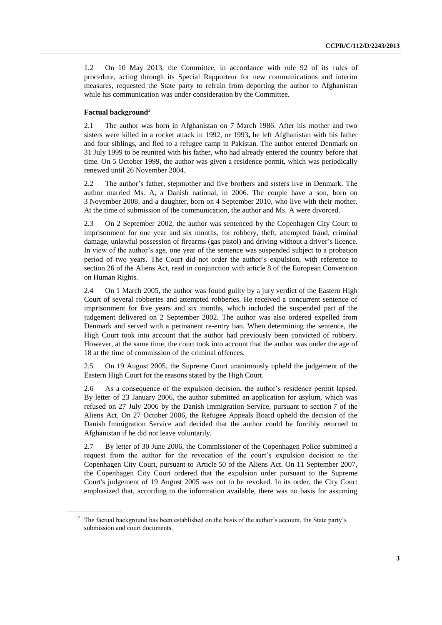1.2 On 10 May 2013, the Committee, in accordance with rule 92 of its rules of procedure, acting through its Special Rapporteur for new communications and interim measures, requested the State party to refrain from deporting the author to Afghanistan while his communication was under consideration by the Committee.

#### **Factual background**<sup>2</sup>

2.1 The author was born in Afghanistan on 7 March 1986. After his mother and two sisters were killed in a rocket attack in 1992, or 1993**,** he left Afghanistan with his father and four siblings, and fled to a refugee camp in Pakistan. The author entered Denmark on 31 July 1999 to be reunited with his father, who had already entered the country before that time. On 5 October 1999, the author was given a residence permit, which was periodically renewed until 26 November 2004.

2.2 The author's father, stepmother and five brothers and sisters live in Denmark. The author married Ms. A, a Danish national, in 2006. The couple have a son, born on 3 November 2008, and a daughter, born on 4 September 2010, who live with their mother. At the time of submission of the communication, the author and Ms. A were divorced.

2.3 On 2 September 2002, the author was sentenced by the Copenhagen City Court to imprisonment for one year and six months, for robbery, theft, attempted fraud, criminal damage, unlawful possession of firearms (gas pistol) and driving without a driver's licence. In view of the author's age, one year of the sentence was suspended subject to a probation period of two years. The Court did not order the author's expulsion, with reference to section 26 of the Aliens Act, read in conjunction with article 8 of the European Convention on Human Rights.

2.4 On 1 March 2005, the author was found guilty by a jury verdict of the Eastern High Court of several robberies and attempted robberies. He received a concurrent sentence of imprisonment for five years and six months, which included the suspended part of the judgement delivered on 2 September 2002. The author was also ordered expelled from Denmark and served with a permanent re-entry ban. When determining the sentence, the High Court took into account that the author had previously been convicted of robbery. However, at the same time, the court took into account that the author was under the age of 18 at the time of commission of the criminal offences.

2.5 On 19 August 2005, the Supreme Court unanimously upheld the judgement of the Eastern High Court for the reasons stated by the High Court.

2.6 As a consequence of the expulsion decision, the author's residence permit lapsed. By letter of 23 January 2006, the author submitted an application for asylum, which was refused on 27 July 2006 by the Danish Immigration Service, pursuant to section 7 of the Aliens Act. On 27 October 2006, the Refugee Appeals Board upheld the decision of the Danish Immigration Service and decided that the author could be forcibly returned to Afghanistan if he did not leave voluntarily.

2.7 By letter of 30 June 2006, the Commissioner of the Copenhagen Police submitted a request from the author for the revocation of the court's expulsion decision to the Copenhagen City Court, pursuant to Article 50 of the Aliens Act. On 11 September 2007, the Copenhagen City Court ordered that the expulsion order pursuant to the Supreme Court's judgement of 19 August 2005 was not to be revoked. In its order, the City Court emphasized that, according to the information available, there was no basis for assuming

<sup>&</sup>lt;sup>2</sup> The factual background has been established on the basis of the author's account, the State party's submission and court documents.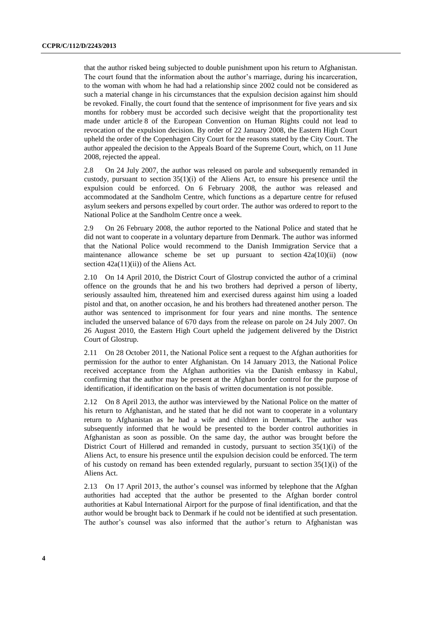that the author risked being subjected to double punishment upon his return to Afghanistan. The court found that the information about the author's marriage, during his incarceration, to the woman with whom he had had a relationship since 2002 could not be considered as such a material change in his circumstances that the expulsion decision against him should be revoked. Finally, the court found that the sentence of imprisonment for five years and six months for robbery must be accorded such decisive weight that the proportionality test made under article 8 of the European Convention on Human Rights could not lead to revocation of the expulsion decision. By order of 22 January 2008, the Eastern High Court upheld the order of the Copenhagen City Court for the reasons stated by the City Court. The author appealed the decision to the Appeals Board of the Supreme Court, which, on 11 June 2008, rejected the appeal.

2.8 On 24 July 2007, the author was released on parole and subsequently remanded in custody, pursuant to section  $35(1)(i)$  of the Aliens Act, to ensure his presence until the expulsion could be enforced. On 6 February 2008, the author was released and accommodated at the Sandholm Centre, which functions as a departure centre for refused asylum seekers and persons expelled by court order. The author was ordered to report to the National Police at the Sandholm Centre once a week.

2.9 On 26 February 2008, the author reported to the National Police and stated that he did not want to cooperate in a voluntary departure from Denmark. The author was informed that the National Police would recommend to the Danish Immigration Service that a maintenance allowance scheme be set up pursuant to section  $42a(10)(ii)$  (now section  $42a(11)(ii)$  of the Aliens Act.

2.10 On 14 April 2010, the District Court of Glostrup convicted the author of a criminal offence on the grounds that he and his two brothers had deprived a person of liberty, seriously assaulted him, threatened him and exercised duress against him using a loaded pistol and that, on another occasion, he and his brothers had threatened another person. The author was sentenced to imprisonment for four years and nine months. The sentence included the unserved balance of 670 days from the release on parole on 24 July 2007. On 26 August 2010, the Eastern High Court upheld the judgement delivered by the District Court of Glostrup.

2.11 On 28 October 2011, the National Police sent a request to the Afghan authorities for permission for the author to enter Afghanistan. On 14 January 2013, the National Police received acceptance from the Afghan authorities via the Danish embassy in Kabul, confirming that the author may be present at the Afghan border control for the purpose of identification, if identification on the basis of written documentation is not possible.

2.12 On 8 April 2013, the author was interviewed by the National Police on the matter of his return to Afghanistan, and he stated that he did not want to cooperate in a voluntary return to Afghanistan as he had a wife and children in Denmark. The author was subsequently informed that he would be presented to the border control authorities in Afghanistan as soon as possible. On the same day, the author was brought before the District Court of Hillerød and remanded in custody, pursuant to section 35(1)(i) of the Aliens Act, to ensure his presence until the expulsion decision could be enforced. The term of his custody on remand has been extended regularly, pursuant to section  $35(1)(i)$  of the Aliens Act.

2.13 On 17 April 2013, the author's counsel was informed by telephone that the Afghan authorities had accepted that the author be presented to the Afghan border control authorities at Kabul International Airport for the purpose of final identification, and that the author would be brought back to Denmark if he could not be identified at such presentation. The author's counsel was also informed that the author's return to Afghanistan was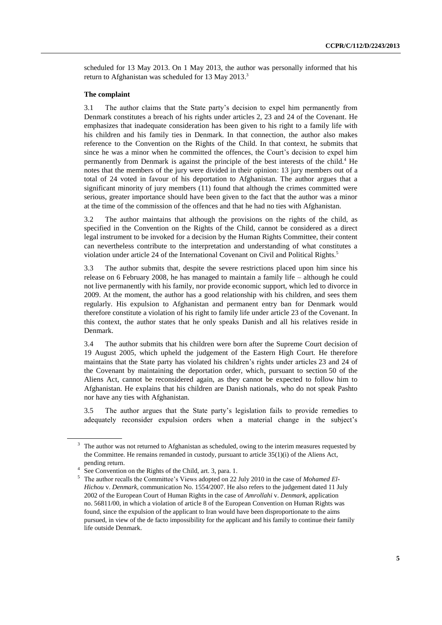scheduled for 13 May 2013. On 1 May 2013, the author was personally informed that his return to Afghanistan was scheduled for 13 May 2013.<sup>3</sup>

### **The complaint**

3.1 The author claims that the State party's decision to expel him permanently from Denmark constitutes a breach of his rights under articles 2, 23 and 24 of the Covenant. He emphasizes that inadequate consideration has been given to his right to a family life with his children and his family ties in Denmark. In that connection, the author also makes reference to the Convention on the Rights of the Child. In that context, he submits that since he was a minor when he committed the offences, the Court's decision to expel him permanently from Denmark is against the principle of the best interests of the child.<sup>4</sup> He notes that the members of the jury were divided in their opinion: 13 jury members out of a total of 24 voted in favour of his deportation to Afghanistan. The author argues that a significant minority of jury members (11) found that although the crimes committed were serious, greater importance should have been given to the fact that the author was a minor at the time of the commission of the offences and that he had no ties with Afghanistan.

3.2 The author maintains that although the provisions on the rights of the child, as specified in the Convention on the Rights of the Child, cannot be considered as a direct legal instrument to be invoked for a decision by the Human Rights Committee, their content can nevertheless contribute to the interpretation and understanding of what constitutes a violation under article 24 of the International Covenant on Civil and Political Rights. 5

3.3 The author submits that, despite the severe restrictions placed upon him since his release on 6 February 2008, he has managed to maintain a family life – although he could not live permanently with his family, nor provide economic support, which led to divorce in 2009. At the moment, the author has a good relationship with his children, and sees them regularly. His expulsion to Afghanistan and permanent entry ban for Denmark would therefore constitute a violation of his right to family life under article 23 of the Covenant. In this context, the author states that he only speaks Danish and all his relatives reside in Denmark.

3.4 The author submits that his children were born after the Supreme Court decision of 19 August 2005, which upheld the judgement of the Eastern High Court. He therefore maintains that the State party has violated his children's rights under articles 23 and 24 of the Covenant by maintaining the deportation order, which, pursuant to section 50 of the Aliens Act, cannot be reconsidered again, as they cannot be expected to follow him to Afghanistan. He explains that his children are Danish nationals, who do not speak Pashto nor have any ties with Afghanistan.

3.5 The author argues that the State party's legislation fails to provide remedies to adequately reconsider expulsion orders when a material change in the subject's

<sup>&</sup>lt;sup>3</sup> The author was not returned to Afghanistan as scheduled, owing to the interim measures requested by the Committee. He remains remanded in custody, pursuant to article 35(1)(i) of the Aliens Act, pending return.

<sup>4</sup> See Convention on the Rights of the Child, art. 3, para. 1.

<sup>5</sup> The author recalls the Committee's Views adopted on 22 July 2010 in the case of *Mohamed El-Hichou* v. *Denmark*, communication No. 1554/2007. He also refers to the judgement dated 11 July 2002 of the European Court of Human Rights in the case of *Amrollahi* v. *Denmark*, application no. 56811/00, in which a violation of article 8 of the European Convention on Human Rights was found, since the expulsion of the applicant to Iran would have been disproportionate to the aims pursued, in view of the de facto impossibility for the applicant and his family to continue their family life outside Denmark.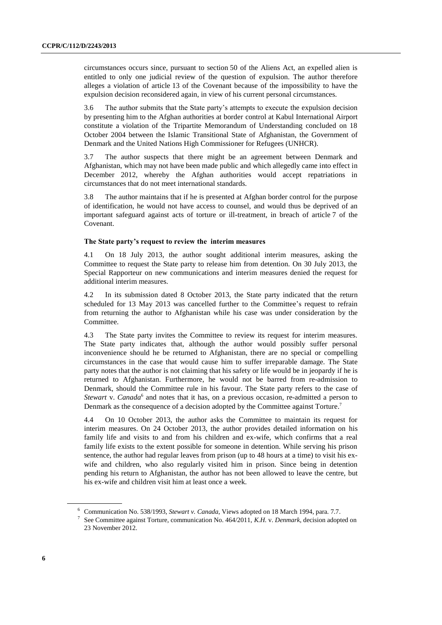circumstances occurs since, pursuant to section 50 of the Aliens Act, an expelled alien is entitled to only one judicial review of the question of expulsion. The author therefore alleges a violation of article 13 of the Covenant because of the impossibility to have the expulsion decision reconsidered again, in view of his current personal circumstances.

3.6 The author submits that the State party's attempts to execute the expulsion decision by presenting him to the Afghan authorities at border control at Kabul International Airport constitute a violation of the Tripartite Memorandum of Understanding concluded on 18 October 2004 between the Islamic Transitional State of Afghanistan, the Government of Denmark and the United Nations High Commissioner for Refugees (UNHCR).

3.7 The author suspects that there might be an agreement between Denmark and Afghanistan, which may not have been made public and which allegedly came into effect in December 2012, whereby the Afghan authorities would accept repatriations in circumstances that do not meet international standards.

3.8 The author maintains that if he is presented at Afghan border control for the purpose of identification, he would not have access to counsel, and would thus be deprived of an important safeguard against acts of torture or ill-treatment, in breach of article 7 of the Covenant.

#### **The State party's request to review the interim measures**

4.1 On 18 July 2013, the author sought additional interim measures, asking the Committee to request the State party to release him from detention. On 30 July 2013, the Special Rapporteur on new communications and interim measures denied the request for additional interim measures.

4.2 In its submission dated 8 October 2013, the State party indicated that the return scheduled for 13 May 2013 was cancelled further to the Committee's request to refrain from returning the author to Afghanistan while his case was under consideration by the Committee.

4.3 The State party invites the Committee to review its request for interim measures. The State party indicates that, although the author would possibly suffer personal inconvenience should he be returned to Afghanistan, there are no special or compelling circumstances in the case that would cause him to suffer irreparable damage. The State party notes that the author is not claiming that his safety or life would be in jeopardy if he is returned to Afghanistan. Furthermore, he would not be barred from re-admission to Denmark, should the Committee rule in his favour. The State party refers to the case of Stewart v. Canada<sup>6</sup> and notes that it has, on a previous occasion, re-admitted a person to Denmark as the consequence of a decision adopted by the Committee against Torture.<sup>7</sup>

4.4 On 10 October 2013, the author asks the Committee to maintain its request for interim measures. On 24 October 2013, the author provides detailed information on his family life and visits to and from his children and ex-wife, which confirms that a real family life exists to the extent possible for someone in detention. While serving his prison sentence, the author had regular leaves from prison (up to 48 hours at a time) to visit his exwife and children, who also regularly visited him in prison. Since being in detention pending his return to Afghanistan, the author has not been allowed to leave the centre, but his ex-wife and children visit him at least once a week.

<sup>6</sup> Communication No. 538/1993, *Stewart v. Canada*, Views adopted on 18 March 1994, para. 7.7.

<sup>7</sup> See Committee against Torture, communication No. 464/2011, *K.H.* v. *Denmark*, decision adopted on 23 November 2012.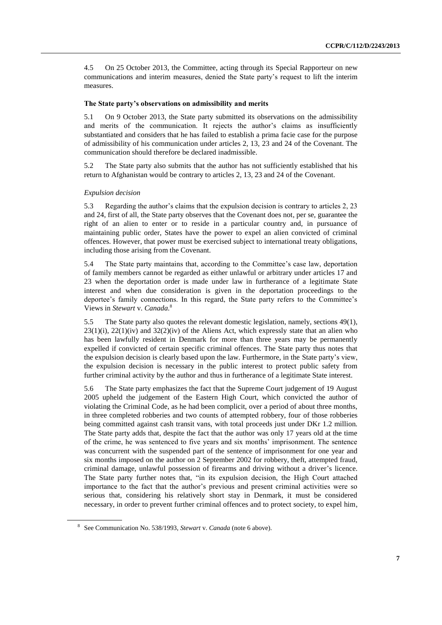4.5 On 25 October 2013, the Committee, acting through its Special Rapporteur on new communications and interim measures, denied the State party's request to lift the interim measures.

#### **The State party's observations on admissibility and merits**

5.1 On 9 October 2013, the State party submitted its observations on the admissibility and merits of the communication. It rejects the author's claims as insufficiently substantiated and considers that he has failed to establish a prima facie case for the purpose of admissibility of his communication under articles 2, 13, 23 and 24 of the Covenant. The communication should therefore be declared inadmissible.

5.2 The State party also submits that the author has not sufficiently established that his return to Afghanistan would be contrary to articles 2, 13, 23 and 24 of the Covenant.

#### *Expulsion decision*

5.3 Regarding the author's claims that the expulsion decision is contrary to articles 2, 23 and 24, first of all, the State party observes that the Covenant does not, per se, guarantee the right of an alien to enter or to reside in a particular country and, in pursuance of maintaining public order, States have the power to expel an alien convicted of criminal offences. However, that power must be exercised subject to international treaty obligations, including those arising from the Covenant.

5.4 The State party maintains that, according to the Committee's case law, deportation of family members cannot be regarded as either unlawful or arbitrary under articles 17 and 23 when the deportation order is made under law in furtherance of a legitimate State interest and when due consideration is given in the deportation proceedings to the deportee's family connections. In this regard, the State party refers to the Committee's Views in *Stewart* v. *Canada.*<sup>8</sup>

5.5 The State party also quotes the relevant domestic legislation, namely, sections 49(1),  $23(1)(i)$ ,  $22(1)(iv)$  and  $32(2)(iv)$  of the Aliens Act, which expressly state that an alien who has been lawfully resident in Denmark for more than three years may be permanently expelled if convicted of certain specific criminal offences. The State party thus notes that the expulsion decision is clearly based upon the law. Furthermore, in the State party's view, the expulsion decision is necessary in the public interest to protect public safety from further criminal activity by the author and thus in furtherance of a legitimate State interest.

5.6 The State party emphasizes the fact that the Supreme Court judgement of 19 August 2005 upheld the judgement of the Eastern High Court, which convicted the author of violating the Criminal Code, as he had been complicit, over a period of about three months, in three completed robberies and two counts of attempted robbery, four of those robberies being committed against cash transit vans, with total proceeds just under DKr 1.2 million*.*  The State party adds that, despite the fact that the author was only 17 years old at the time of the crime, he was sentenced to five years and six months' imprisonment. The sentence was concurrent with the suspended part of the sentence of imprisonment for one year and six months imposed on the author on 2 September 2002 for robbery, theft, attempted fraud, criminal damage, unlawful possession of firearms and driving without a driver's licence. The State party further notes that, "in its expulsion decision, the High Court attached importance to the fact that the author's previous and present criminal activities were so serious that, considering his relatively short stay in Denmark, it must be considered necessary, in order to prevent further criminal offences and to protect society, to expel him,

<sup>8</sup> See Communication No. 538/1993, *Stewart* v. *Canada* (note 6 above).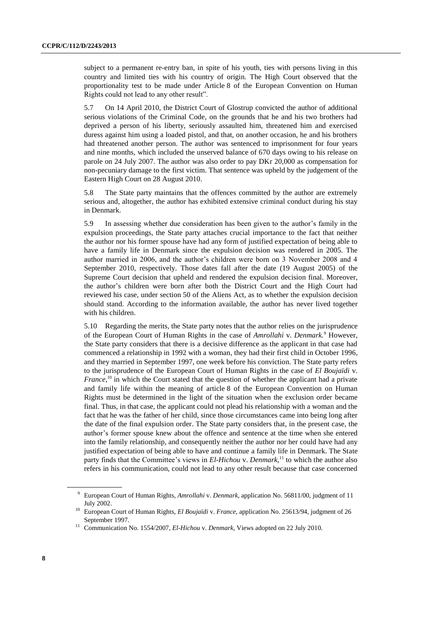subject to a permanent re-entry ban, in spite of his youth, ties with persons living in this country and limited ties with his country of origin. The High Court observed that the proportionality test to be made under Article 8 of the European Convention on Human Rights could not lead to any other result".

5.7 On 14 April 2010, the District Court of Glostrup convicted the author of additional serious violations of the Criminal Code, on the grounds that he and his two brothers had deprived a person of his liberty, seriously assaulted him, threatened him and exercised duress against him using a loaded pistol, and that, on another occasion, he and his brothers had threatened another person. The author was sentenced to imprisonment for four years and nine months, which included the unserved balance of 670 days owing to his release on parole on 24 July 2007. The author was also order to pay DKr 20,000 as compensation for non-pecuniary damage to the first victim. That sentence was upheld by the judgement of the Eastern High Court on 28 August 2010.

5.8 The State party maintains that the offences committed by the author are extremely serious and, altogether, the author has exhibited extensive criminal conduct during his stay in Denmark.

5.9 In assessing whether due consideration has been given to the author's family in the expulsion proceedings, the State party attaches crucial importance to the fact that neither the author nor his former spouse have had any form of justified expectation of being able to have a family life in Denmark since the expulsion decision was rendered in 2005. The author married in 2006, and the author's children were born on 3 November 2008 and 4 September 2010, respectively. Those dates fall after the date (19 August 2005) of the Supreme Court decision that upheld and rendered the expulsion decision final. Moreover, the author's children were born after both the District Court and the High Court had reviewed his case, under section 50 of the Aliens Act, as to whether the expulsion decision should stand. According to the information available, the author has never lived together with his children.

5.10 Regarding the merits, the State party notes that the author relies on the jurisprudence of the European Court of Human Rights in the case of *Amrollahi* v. *Denmark.*<sup>9</sup> However, the State party considers that there is a decisive difference as the applicant in that case had commenced a relationship in 1992 with a woman, they had their first child in October 1996, and they married in September 1997, one week before his conviction. The State party refers to the jurisprudence of the European Court of Human Rights in the case of *El Boujaïdi* v. *France*,<sup>10</sup> in which the Court stated that the question of whether the applicant had a private and family life within the meaning of article 8 of the European Convention on Human Rights must be determined in the light of the situation when the exclusion order became final. Thus, in that case, the applicant could not plead his relationship with a woman and the fact that he was the father of her child, since those circumstances came into being long after the date of the final expulsion order. The State party considers that, in the present case, the author's former spouse knew about the offence and sentence at the time when she entered into the family relationship, and consequently neither the author nor her could have had any justified expectation of being able to have and continue a family life in Denmark. The State party finds that the Committee's views in *El-Hichou* v. *Denmark*, <sup>11</sup> to which the author also refers in his communication, could not lead to any other result because that case concerned

<sup>9</sup> European Court of Human Rights, *Amrollahi* v. *Denmark*, application No. 56811/00, judgment of 11 July 2002.

<sup>10</sup> European Court of Human Rights, *El Boujaïdi* v. *France*, application No. 25613/94, judgment of 26 September 1997.

<sup>11</sup> Communication No. 1554/2007, *El-Hichou* v. *Denmark*, Views adopted on 22 July 2010.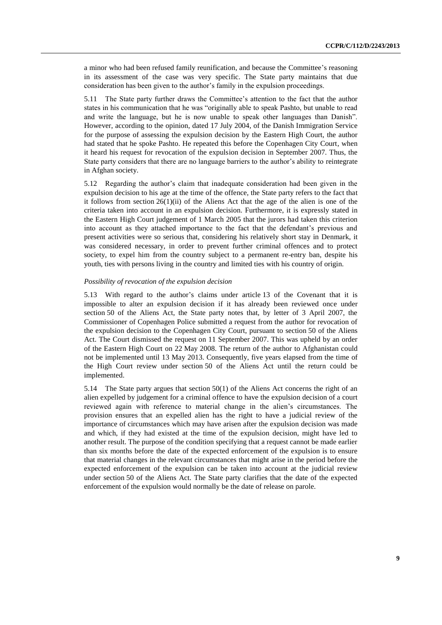a minor who had been refused family reunification, and because the Committee's reasoning in its assessment of the case was very specific. The State party maintains that due consideration has been given to the author's family in the expulsion proceedings.

5.11 The State party further draws the Committee's attention to the fact that the author states in his communication that he was "originally able to speak Pashto, but unable to read and write the language, but he is now unable to speak other languages than Danish". However, according to the opinion, dated 17 July 2004, of the Danish Immigration Service for the purpose of assessing the expulsion decision by the Eastern High Court, the author had stated that he spoke Pashto. He repeated this before the Copenhagen City Court, when it heard his request for revocation of the expulsion decision in September 2007. Thus, the State party considers that there are no language barriers to the author's ability to reintegrate in Afghan society.

5.12 Regarding the author's claim that inadequate consideration had been given in the expulsion decision to his age at the time of the offence, the State party refers to the fact that it follows from section  $26(1)(ii)$  of the Aliens Act that the age of the alien is one of the criteria taken into account in an expulsion decision. Furthermore, it is expressly stated in the Eastern High Court judgement of 1 March 2005 that the jurors had taken this criterion into account as they attached importance to the fact that the defendant's previous and present activities were so serious that, considering his relatively short stay in Denmark, it was considered necessary, in order to prevent further criminal offences and to protect society, to expel him from the country subject to a permanent re-entry ban, despite his youth, ties with persons living in the country and limited ties with his country of origin.

## *Possibility of revocation of the expulsion decision*

5.13 With regard to the author's claims under article 13 of the Covenant that it is impossible to alter an expulsion decision if it has already been reviewed once under section 50 of the Aliens Act, the State party notes that, by letter of 3 April 2007, the Commissioner of Copenhagen Police submitted a request from the author for revocation of the expulsion decision to the Copenhagen City Court, pursuant to section 50 of the Aliens Act. The Court dismissed the request on 11 September 2007. This was upheld by an order of the Eastern High Court on 22 May 2008. The return of the author to Afghanistan could not be implemented until 13 May 2013. Consequently, five years elapsed from the time of the High Court review under section 50 of the Aliens Act until the return could be implemented.

5.14 The State party argues that section 50(1) of the Aliens Act concerns the right of an alien expelled by judgement for a criminal offence to have the expulsion decision of a court reviewed again with reference to material change in the alien's circumstances. The provision ensures that an expelled alien has the right to have a judicial review of the importance of circumstances which may have arisen after the expulsion decision was made and which, if they had existed at the time of the expulsion decision, might have led to another result. The purpose of the condition specifying that a request cannot be made earlier than six months before the date of the expected enforcement of the expulsion is to ensure that material changes in the relevant circumstances that might arise in the period before the expected enforcement of the expulsion can be taken into account at the judicial review under section 50 of the Aliens Act. The State party clarifies that the date of the expected enforcement of the expulsion would normally be the date of release on parole.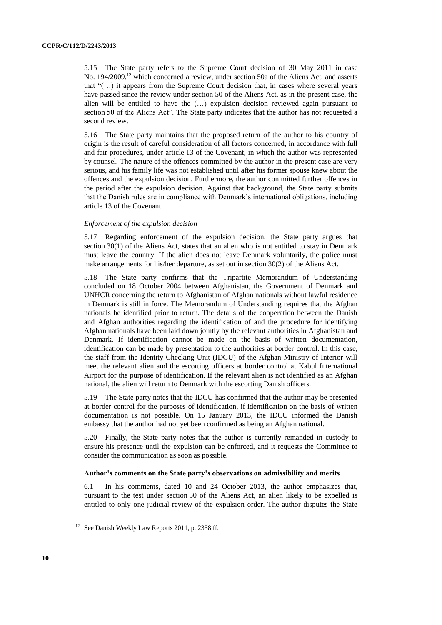5.15 The State party refers to the Supreme Court decision of 30 May 2011 in case No. 194/2009,<sup>12</sup> which concerned a review, under section 50a of the Aliens Act, and asserts that "(…) it appears from the Supreme Court decision that, in cases where several years have passed since the review under section 50 of the Aliens Act, as in the present case, the alien will be entitled to have the (…) expulsion decision reviewed again pursuant to section 50 of the Aliens Act". The State party indicates that the author has not requested a second review.

5.16 The State party maintains that the proposed return of the author to his country of origin is the result of careful consideration of all factors concerned, in accordance with full and fair procedures, under article 13 of the Covenant, in which the author was represented by counsel. The nature of the offences committed by the author in the present case are very serious, and his family life was not established until after his former spouse knew about the offences and the expulsion decision. Furthermore, the author committed further offences in the period after the expulsion decision. Against that background, the State party submits that the Danish rules are in compliance with Denmark's international obligations, including article 13 of the Covenant.

## *Enforcement of the expulsion decision*

5.17 Regarding enforcement of the expulsion decision, the State party argues that section 30(1) of the Aliens Act, states that an alien who is not entitled to stay in Denmark must leave the country. If the alien does not leave Denmark voluntarily, the police must make arrangements for his/her departure, as set out in section 30(2) of the Aliens Act.

5.18 The State party confirms that the Tripartite Memorandum of Understanding concluded on 18 October 2004 between Afghanistan, the Government of Denmark and UNHCR concerning the return to Afghanistan of Afghan nationals without lawful residence in Denmark is still in force. The Memorandum of Understanding requires that the Afghan nationals be identified prior to return. The details of the cooperation between the Danish and Afghan authorities regarding the identification of and the procedure for identifying Afghan nationals have been laid down jointly by the relevant authorities in Afghanistan and Denmark. If identification cannot be made on the basis of written documentation, identification can be made by presentation to the authorities at border control. In this case, the staff from the Identity Checking Unit (IDCU) of the Afghan Ministry of Interior will meet the relevant alien and the escorting officers at border control at Kabul International Airport for the purpose of identification. If the relevant alien is not identified as an Afghan national, the alien will return to Denmark with the escorting Danish officers.

5.19 The State party notes that the IDCU has confirmed that the author may be presented at border control for the purposes of identification, if identification on the basis of written documentation is not possible. On 15 January 2013, the IDCU informed the Danish embassy that the author had not yet been confirmed as being an Afghan national.

5.20 Finally, the State party notes that the author is currently remanded in custody to ensure his presence until the expulsion can be enforced, and it requests the Committee to consider the communication as soon as possible.

#### **Author's comments on the State party's observations on admissibility and merits**

6.1 In his comments, dated 10 and 24 October 2013, the author emphasizes that, pursuant to the test under section 50 of the Aliens Act, an alien likely to be expelled is entitled to only one judicial review of the expulsion order. The author disputes the State

<sup>&</sup>lt;sup>12</sup> See Danish Weekly Law Reports 2011, p. 2358 ff.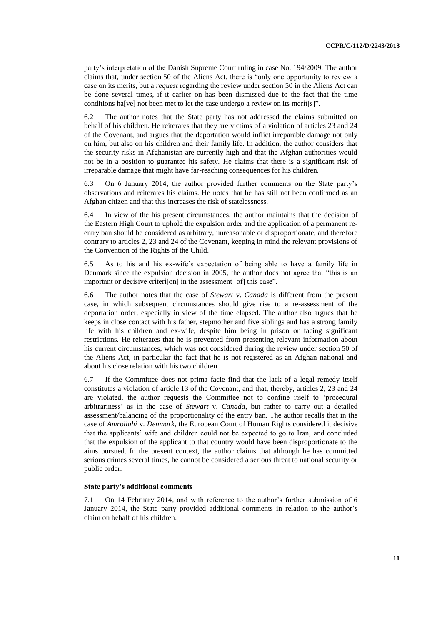party's interpretation of the Danish Supreme Court ruling in case No. 194/2009. The author claims that, under section 50 of the Aliens Act, there is "only one opportunity to review a case on its merits, but a *request* regarding the review under section 50 in the Aliens Act can be done several times, if it earlier on has been dismissed due to the fact that the time conditions ha[ve] not been met to let the case undergo a review on its merit[s]".

6.2 The author notes that the State party has not addressed the claims submitted on behalf of his children. He reiterates that they are victims of a violation of articles 23 and 24 of the Covenant, and argues that the deportation would inflict irreparable damage not only on him, but also on his children and their family life. In addition, the author considers that the security risks in Afghanistan are currently high and that the Afghan authorities would not be in a position to guarantee his safety. He claims that there is a significant risk of irreparable damage that might have far-reaching consequences for his children.

6.3 On 6 January 2014, the author provided further comments on the State party's observations and reiterates his claims. He notes that he has still not been confirmed as an Afghan citizen and that this increases the risk of statelessness.

6.4 In view of the his present circumstances, the author maintains that the decision of the Eastern High Court to uphold the expulsion order and the application of a permanent reentry ban should be considered as arbitrary, unreasonable or disproportionate, and therefore contrary to articles 2, 23 and 24 of the Covenant, keeping in mind the relevant provisions of the Convention of the Rights of the Child.

6.5 As to his and his ex-wife's expectation of being able to have a family life in Denmark since the expulsion decision in 2005, the author does not agree that "this is an important or decisive criteri<sup>[on]</sup> in the assessment [of] this case".

6.6 The author notes that the case of *Stewart* v. *Canada* is different from the present case, in which subsequent circumstances should give rise to a re-assessment of the deportation order, especially in view of the time elapsed. The author also argues that he keeps in close contact with his father, stepmother and five siblings and has a strong family life with his children and ex-wife, despite him being in prison or facing significant restrictions. He reiterates that he is prevented from presenting relevant information about his current circumstances, which was not considered during the review under section 50 of the Aliens Act, in particular the fact that he is not registered as an Afghan national and about his close relation with his two children.

6.7 If the Committee does not prima facie find that the lack of a legal remedy itself constitutes a violation of article 13 of the Covenant, and that, thereby, articles 2, 23 and 24 are violated, the author requests the Committee not to confine itself to 'procedural arbitrariness' as in the case of *Stewart* v. *Canada*, but rather to carry out a detailed assessment/balancing of the proportionality of the entry ban. The author recalls that in the case of *Amrollahi* v. *Denmark*, the European Court of Human Rights considered it decisive that the applicants' wife and children could not be expected to go to Iran, and concluded that the expulsion of the applicant to that country would have been disproportionate to the aims pursued. In the present context, the author claims that although he has committed serious crimes several times, he cannot be considered a serious threat to national security or public order.

#### **State party's additional comments**

7.1 On 14 February 2014, and with reference to the author's further submission of 6 January 2014, the State party provided additional comments in relation to the author's claim on behalf of his children.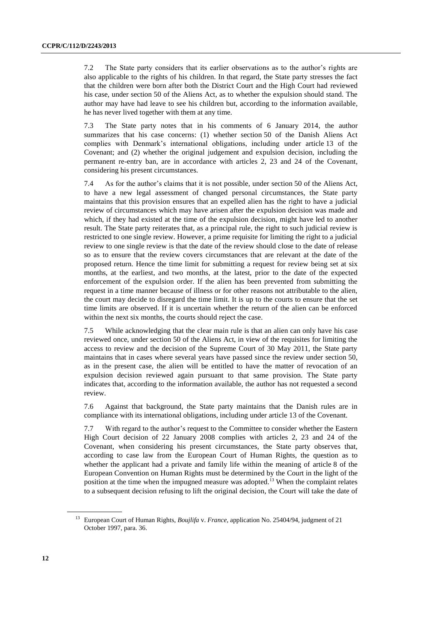7.2 The State party considers that its earlier observations as to the author's rights are also applicable to the rights of his children. In that regard, the State party stresses the fact that the children were born after both the District Court and the High Court had reviewed his case, under section 50 of the Aliens Act, as to whether the expulsion should stand. The author may have had leave to see his children but, according to the information available, he has never lived together with them at any time.

7.3 The State party notes that in his comments of 6 January 2014, the author summarizes that his case concerns: (1) whether section 50 of the Danish Aliens Act complies with Denmark's international obligations, including under article 13 of the Covenant; and (2) whether the original judgement and expulsion decision, including the permanent re-entry ban, are in accordance with articles 2, 23 and 24 of the Covenant, considering his present circumstances.

7.4 As for the author's claims that it is not possible, under section 50 of the Aliens Act, to have a new legal assessment of changed personal circumstances, the State party maintains that this provision ensures that an expelled alien has the right to have a judicial review of circumstances which may have arisen after the expulsion decision was made and which, if they had existed at the time of the expulsion decision, might have led to another result. The State party reiterates that, as a principal rule, the right to such judicial review is restricted to one single review. However, a prime requisite for limiting the right to a judicial review to one single review is that the date of the review should close to the date of release so as to ensure that the review covers circumstances that are relevant at the date of the proposed return. Hence the time limit for submitting a request for review being set at six months, at the earliest, and two months, at the latest, prior to the date of the expected enforcement of the expulsion order. If the alien has been prevented from submitting the request in a time manner because of illness or for other reasons not attributable to the alien, the court may decide to disregard the time limit. It is up to the courts to ensure that the set time limits are observed. If it is uncertain whether the return of the alien can be enforced within the next six months, the courts should reject the case.

7.5 While acknowledging that the clear main rule is that an alien can only have his case reviewed once, under section 50 of the Aliens Act, in view of the requisites for limiting the access to review and the decision of the Supreme Court of 30 May 2011, the State party maintains that in cases where several years have passed since the review under section 50, as in the present case, the alien will be entitled to have the matter of revocation of an expulsion decision reviewed again pursuant to that same provision. The State party indicates that, according to the information available, the author has not requested a second review.

7.6 Against that background, the State party maintains that the Danish rules are in compliance with its international obligations, including under article 13 of the Covenant.

7.7 With regard to the author's request to the Committee to consider whether the Eastern High Court decision of 22 January 2008 complies with articles 2, 23 and 24 of the Covenant, when considering his present circumstances, the State party observes that, according to case law from the European Court of Human Rights, the question as to whether the applicant had a private and family life within the meaning of article 8 of the European Convention on Human Rights must be determined by the Court in the light of the position at the time when the impugned measure was adopted*.* <sup>13</sup> When the complaint relates to a subsequent decision refusing to lift the original decision, the Court will take the date of

<sup>13</sup> European Court of Human Rights, *Boujlifa* v. *France*, application No. 25404/94, judgment of 21 October 1997, para. 36.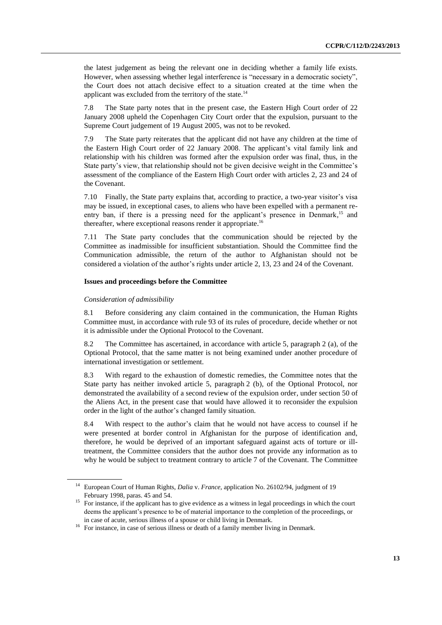the latest judgement as being the relevant one in deciding whether a family life exists. However, when assessing whether legal interference is "necessary in a democratic society", the Court does not attach decisive effect to a situation created at the time when the applicant was excluded from the territory of the state. $^{14}$ 

7.8 The State party notes that in the present case, the Eastern High Court order of 22 January 2008 upheld the Copenhagen City Court order that the expulsion, pursuant to the Supreme Court judgement of 19 August 2005, was not to be revoked.

7.9 The State party reiterates that the applicant did not have any children at the time of the Eastern High Court order of 22 January 2008. The applicant's vital family link and relationship with his children was formed after the expulsion order was final, thus, in the State party's view, that relationship should not be given decisive weight in the Committee's assessment of the compliance of the Eastern High Court order with articles 2, 23 and 24 of the Covenant.

7.10 Finally, the State party explains that, according to practice, a two-year visitor's visa may be issued, in exceptional cases, to aliens who have been expelled with a permanent reentry ban, if there is a pressing need for the applicant's presence in Denmark,<sup>15</sup> and thereafter, where exceptional reasons render it appropriate.<sup>16</sup>

7.11 The State party concludes that the communication should be rejected by the Committee as inadmissible for insufficient substantiation. Should the Committee find the Communication admissible, the return of the author to Afghanistan should not be considered a violation of the author's rights under article 2, 13, 23 and 24 of the Covenant.

## **Issues and proceedings before the Committee**

#### *Consideration of admissibility*

8.1 Before considering any claim contained in the communication, the Human Rights Committee must, in accordance with rule 93 of its rules of procedure, decide whether or not it is admissible under the Optional Protocol to the Covenant.

8.2 The Committee has ascertained, in accordance with article 5, paragraph 2 (a), of the Optional Protocol, that the same matter is not being examined under another procedure of international investigation or settlement.

8.3 With regard to the exhaustion of domestic remedies, the Committee notes that the State party has neither invoked article 5, paragraph 2 (b), of the Optional Protocol, nor demonstrated the availability of a second review of the expulsion order, under section 50 of the Aliens Act, in the present case that would have allowed it to reconsider the expulsion order in the light of the author's changed family situation.

8.4 With respect to the author's claim that he would not have access to counsel if he were presented at border control in Afghanistan for the purpose of identification and, therefore, he would be deprived of an important safeguard against acts of torture or illtreatment, the Committee considers that the author does not provide any information as to why he would be subject to treatment contrary to article 7 of the Covenant. The Committee

<sup>14</sup> European Court of Human Rights, *Dalia* v. *France*, application No. 26102/94, judgment of 19 February 1998, paras. 45 and 54.

<sup>&</sup>lt;sup>15</sup> For instance, if the applicant has to give evidence as a witness in legal proceedings in which the court deems the applicant's presence to be of material importance to the completion of the proceedings, or in case of acute, serious illness of a spouse or child living in Denmark.

<sup>&</sup>lt;sup>16</sup> For instance, in case of serious illness or death of a family member living in Denmark.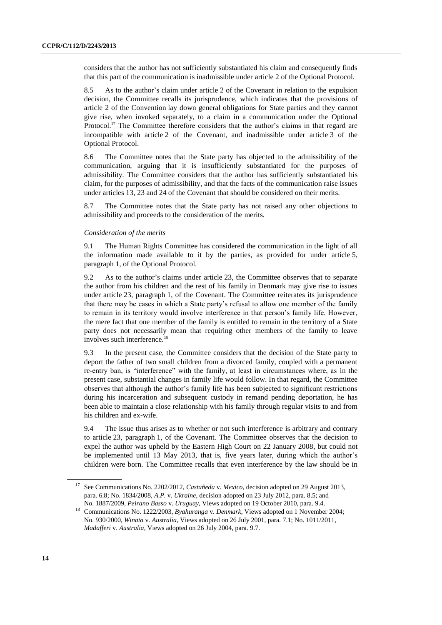considers that the author has not sufficiently substantiated his claim and consequently finds that this part of the communication is inadmissible under article 2 of the Optional Protocol.

8.5 As to the author's claim under article 2 of the Covenant in relation to the expulsion decision, the Committee recalls its jurisprudence, which indicates that the provisions of article 2 of the Convention lay down general obligations for State parties and they cannot give rise, when invoked separately, to a claim in a communication under the Optional Protocol.<sup>17</sup> The Committee therefore considers that the author's claims in that regard are incompatible with article 2 of the Covenant, and inadmissible under article 3 of the Optional Protocol.

8.6 The Committee notes that the State party has objected to the admissibility of the communication, arguing that it is insufficiently substantiated for the purposes of admissibility. The Committee considers that the author has sufficiently substantiated his claim, for the purposes of admissibility, and that the facts of the communication raise issues under articles 13, 23 and 24 of the Covenant that should be considered on their merits.

8.7 The Committee notes that the State party has not raised any other objections to admissibility and proceeds to the consideration of the merits.

#### *Consideration of the merits*

9.1 The Human Rights Committee has considered the communication in the light of all the information made available to it by the parties, as provided for under article 5, paragraph 1, of the Optional Protocol.

9.2 As to the author's claims under article 23, the Committee observes that to separate the author from his children and the rest of his family in Denmark may give rise to issues under article 23, paragraph 1, of the Covenant. The Committee reiterates its jurisprudence that there may be cases in which a State party's refusal to allow one member of the family to remain in its territory would involve interference in that person's family life. However, the mere fact that one member of the family is entitled to remain in the territory of a State party does not necessarily mean that requiring other members of the family to leave involves such interference.<sup>18</sup>

9.3 In the present case, the Committee considers that the decision of the State party to deport the father of two small children from a divorced family, coupled with a permanent re-entry ban, is "interference" with the family, at least in circumstances where, as in the present case, substantial changes in family life would follow. In that regard, the Committee observes that although the author's family life has been subjected to significant restrictions during his incarceration and subsequent custody in remand pending deportation, he has been able to maintain a close relationship with his family through regular visits to and from his children and ex-wife.

9.4 The issue thus arises as to whether or not such interference is arbitrary and contrary to article 23, paragraph 1, of the Covenant. The Committee observes that the decision to expel the author was upheld by the Eastern High Court on 22 January 2008, but could not be implemented until 13 May 2013, that is, five years later, during which the author's children were born. The Committee recalls that even interference by the law should be in

<sup>17</sup> See Communications No. 2202/2012, *Castañeda* v. *Mexico*, decision adopted on 29 August 2013, para. 6.8; No. 1834/2008, *A.P.* v. *Ukraine*, decision adopted on 23 July 2012, para. 8.5; and No. 1887/2009, *Peirano Basso* v. *Uruguay*, Views adopted on 19 October 2010, para. 9.4.

<sup>&</sup>lt;sup>18</sup> Communications No. 1222/2003, *Byahuranga v. Denmark*, Views adopted on 1 November 2004; No. 930/2000, *Winata* v. *Australia*, Views adopted on 26 July 2001, para. 7.1; No. 1011/2011, *Madafferi* v. *Australia*, Views adopted on 26 July 2004, para. 9.7.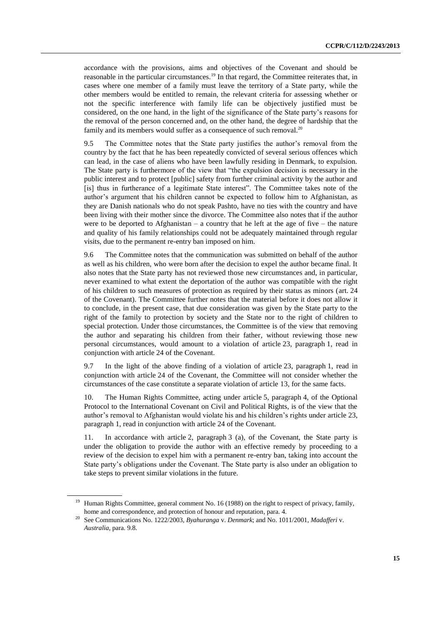accordance with the provisions, aims and objectives of the Covenant and should be reasonable in the particular circumstances.<sup>19</sup> In that regard, the Committee reiterates that, in cases where one member of a family must leave the territory of a State party, while the other members would be entitled to remain, the relevant criteria for assessing whether or not the specific interference with family life can be objectively justified must be considered, on the one hand, in the light of the significance of the State party's reasons for the removal of the person concerned and, on the other hand, the degree of hardship that the family and its members would suffer as a consequence of such removal.<sup>20</sup>

9.5 The Committee notes that the State party justifies the author's removal from the country by the fact that he has been repeatedly convicted of several serious offences which can lead, in the case of aliens who have been lawfully residing in Denmark, to expulsion. The State party is furthermore of the view that "the expulsion decision is necessary in the public interest and to protect [public] safety from further criminal activity by the author and [is] thus in furtherance of a legitimate State interest". The Committee takes note of the author's argument that his children cannot be expected to follow him to Afghanistan, as they are Danish nationals who do not speak Pashto, have no ties with the country and have been living with their mother since the divorce. The Committee also notes that if the author were to be deported to Afghanistan – a country that he left at the age of five – the nature and quality of his family relationships could not be adequately maintained through regular visits, due to the permanent re-entry ban imposed on him.

9.6 The Committee notes that the communication was submitted on behalf of the author as well as his children, who were born after the decision to expel the author became final. It also notes that the State party has not reviewed those new circumstances and, in particular, never examined to what extent the deportation of the author was compatible with the right of his children to such measures of protection as required by their status as minors (art. 24 of the Covenant). The Committee further notes that the material before it does not allow it to conclude, in the present case, that due consideration was given by the State party to the right of the family to protection by society and the State nor to the right of children to special protection. Under those circumstances, the Committee is of the view that removing the author and separating his children from their father, without reviewing those new personal circumstances, would amount to a violation of article 23, paragraph 1, read in conjunction with article 24 of the Covenant.

9.7 In the light of the above finding of a violation of article 23, paragraph 1, read in conjunction with article 24 of the Covenant, the Committee will not consider whether the circumstances of the case constitute a separate violation of article 13, for the same facts.

10. The Human Rights Committee, acting under article 5, paragraph 4, of the Optional Protocol to the International Covenant on Civil and Political Rights, is of the view that the author's removal to Afghanistan would violate his and his children's rights under article 23, paragraph 1, read in conjunction with article 24 of the Covenant.

11. In accordance with article 2, paragraph 3 (a), of the Covenant, the State party is under the obligation to provide the author with an effective remedy by proceeding to a review of the decision to expel him with a permanent re-entry ban, taking into account the State party's obligations under the Covenant. The State party is also under an obligation to take steps to prevent similar violations in the future.

<sup>&</sup>lt;sup>19</sup> Human Rights Committee, general comment No. 16 (1988) on the right to respect of privacy, family, home and correspondence, and protection of honour and reputation, para. 4.

<sup>20</sup> See Communications No. 1222/2003, *Byahuranga* v. *Denmark*; and No. 1011/2001, *Madafferi* v. *Australia*, para. 9.8.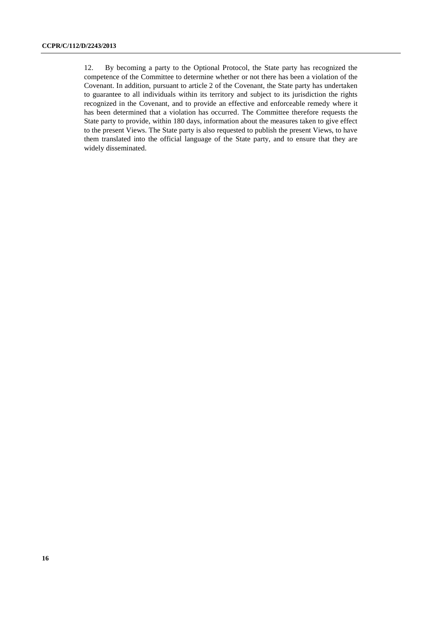12. By becoming a party to the Optional Protocol, the State party has recognized the competence of the Committee to determine whether or not there has been a violation of the Covenant. In addition, pursuant to article 2 of the Covenant, the State party has undertaken to guarantee to all individuals within its territory and subject to its jurisdiction the rights recognized in the Covenant, and to provide an effective and enforceable remedy where it has been determined that a violation has occurred. The Committee therefore requests the State party to provide, within 180 days, information about the measures taken to give effect to the present Views. The State party is also requested to publish the present Views, to have them translated into the official language of the State party, and to ensure that they are widely disseminated.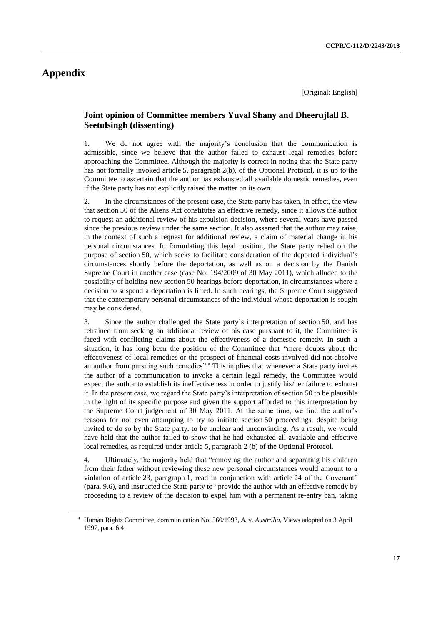# **Appendix**

[Original: English]

# **Joint opinion of Committee members Yuval Shany and Dheerujlall B. Seetulsingh (dissenting)**

1. We do not agree with the majority's conclusion that the communication is admissible, since we believe that the author failed to exhaust legal remedies before approaching the Committee. Although the majority is correct in noting that the State party has not formally invoked article 5, paragraph 2(b), of the Optional Protocol, it is up to the Committee to ascertain that the author has exhausted all available domestic remedies, even if the State party has not explicitly raised the matter on its own.

2. In the circumstances of the present case, the State party has taken, in effect, the view that section 50 of the Aliens Act constitutes an effective remedy, since it allows the author to request an additional review of his expulsion decision, where several years have passed since the previous review under the same section. It also asserted that the author may raise, in the context of such a request for additional review, a claim of material change in his personal circumstances. In formulating this legal position, the State party relied on the purpose of section 50, which seeks to facilitate consideration of the deported individual's circumstances shortly before the deportation, as well as on a decision by the Danish Supreme Court in another case (case No. 194/2009 of 30 May 2011), which alluded to the possibility of holding new section 50 hearings before deportation, in circumstances where a decision to suspend a deportation is lifted. In such hearings, the Supreme Court suggested that the contemporary personal circumstances of the individual whose deportation is sought may be considered.

3. Since the author challenged the State party's interpretation of section 50, and has refrained from seeking an additional review of his case pursuant to it, the Committee is faced with conflicting claims about the effectiveness of a domestic remedy. In such a situation, it has long been the position of the Committee that "mere doubts about the effectiveness of local remedies or the prospect of financial costs involved did not absolve an author from pursuing such remedies".<sup>a</sup> This implies that whenever a State party invites the author of a communication to invoke a certain legal remedy, the Committee would expect the author to establish its ineffectiveness in order to justify his/her failure to exhaust it. In the present case, we regard the State party's interpretation of section 50 to be plausible in the light of its specific purpose and given the support afforded to this interpretation by the Supreme Court judgement of 30 May 2011. At the same time, we find the author's reasons for not even attempting to try to initiate section 50 proceedings, despite being invited to do so by the State party, to be unclear and unconvincing. As a result, we would have held that the author failed to show that he had exhausted all available and effective local remedies, as required under article 5, paragraph 2 (b) of the Optional Protocol.

4. Ultimately, the majority held that "removing the author and separating his children from their father without reviewing these new personal circumstances would amount to a violation of article 23, paragraph 1, read in conjunction with article 24 of the Covenant" (para. 9.6), and instructed the State party to "provide the author with an effective remedy by proceeding to a review of the decision to expel him with a permanent re-entry ban, taking

<sup>a</sup> Human Rights Committee, communication No. 560/1993, *A.* v. *Australia*, Views adopted on 3 April 1997, para. 6.4.